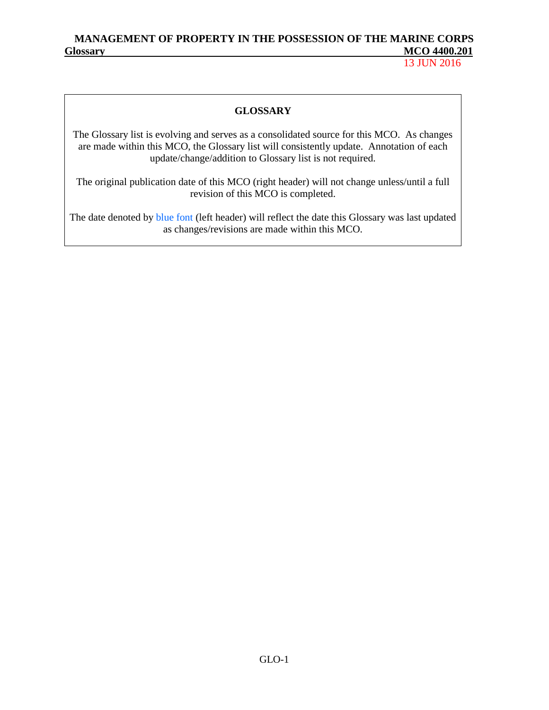13 JUN 2016

### **GLOSSARY**

The Glossary list is evolving and serves as a consolidated source for this MCO. As changes are made within this MCO, the Glossary list will consistently update. Annotation of each update/change/addition to Glossary list is not required.

The original publication date of this MCO (right header) will not change unless/until a full revision of this MCO is completed.

The date denoted by **blue font** (left header) will reflect the date this Glossary was last updated as changes/revisions are made within this MCO.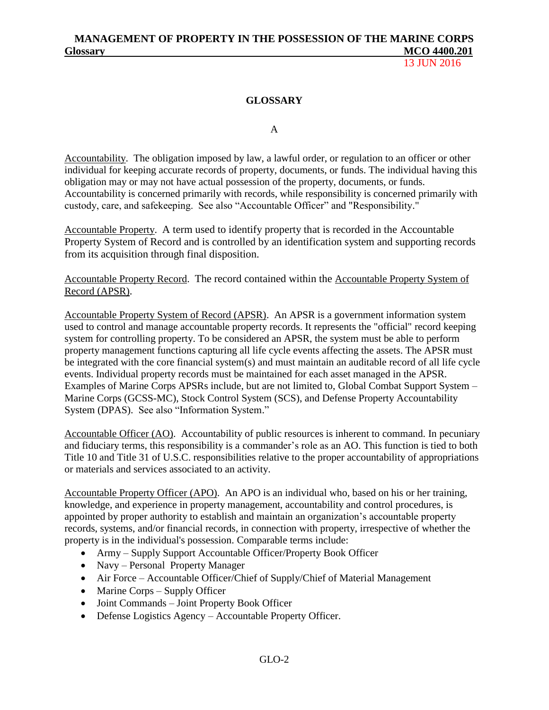13 JUN 2016

### **GLOSSARY**

A

Accountability. The obligation imposed by law, a lawful order, or regulation to an officer or other individual for keeping accurate records of property, documents, or funds. The individual having this obligation may or may not have actual possession of the property, documents, or funds. Accountability is concerned primarily with records, while responsibility is concerned primarily with custody, care, and safekeeping. See also "Accountable Officer" and "Responsibility."

Accountable Property. A term used to identify property that is recorded in the Accountable Property System of Record and is controlled by an identification system and supporting records from its acquisition through final disposition.

Accountable Property Record. The record contained within the Accountable Property System of Record (APSR).

Accountable Property System of Record (APSR). An APSR is a government information system used to control and manage accountable property records. It represents the "official" record keeping system for controlling property. To be considered an APSR, the system must be able to perform property management functions capturing all life cycle events affecting the assets. The APSR must be integrated with the core financial system(s) and must maintain an auditable record of all life cycle events. Individual property records must be maintained for each asset managed in the APSR. Examples of Marine Corps APSRs include, but are not limited to, Global Combat Support System – Marine Corps (GCSS-MC), Stock Control System (SCS), and Defense Property Accountability System (DPAS). See also "Information System."

Accountable Officer (AO). Accountability of public resources is inherent to command. In pecuniary and fiduciary terms, this responsibility is a commander's role as an AO. This function is tied to both Title 10 and Title 31 of U.S.C. responsibilities relative to the proper accountability of appropriations or materials and services associated to an activity.

Accountable Property Officer (APO). An APO is an individual who, based on his or her training, knowledge, and experience in property management, accountability and control procedures, is appointed by proper authority to establish and maintain an organization's accountable property records, systems, and/or financial records, in connection with property, irrespective of whether the property is in the individual's possession. Comparable terms include:

- Army Supply Support Accountable Officer/Property Book Officer
- Navy Personal Property Manager
- Air Force Accountable Officer/Chief of Supply/Chief of Material Management
- Marine Corps Supply Officer
- Joint Commands Joint Property Book Officer
- Defense Logistics Agency Accountable Property Officer.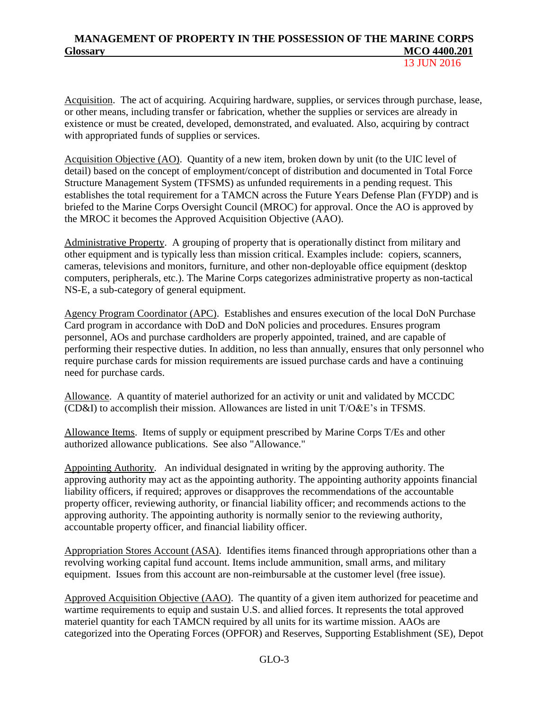Acquisition. The act of acquiring. Acquiring hardware, supplies, or services through purchase, lease, or other means, including transfer or fabrication, whether the supplies or services are already in existence or must be created, developed, demonstrated, and evaluated. Also, acquiring by contract with appropriated funds of supplies or services.

Acquisition Objective (AO). Quantity of a new item, broken down by unit (to the UIC level of detail) based on the concept of employment/concept of distribution and documented in Total Force Structure Management System (TFSMS) as unfunded requirements in a pending request. This establishes the total requirement for a TAMCN across the Future Years Defense Plan (FYDP) and is briefed to the Marine Corps Oversight Council (MROC) for approval. Once the AO is approved by the MROC it becomes the Approved Acquisition Objective (AAO).

Administrative Property. A grouping of property that is operationally distinct from military and other equipment and is typically less than mission critical. Examples include: copiers, scanners, cameras, televisions and monitors, furniture, and other non-deployable office equipment (desktop computers, peripherals, etc.). The Marine Corps categorizes administrative property as non-tactical NS-E, a sub-category of general equipment.

Agency Program Coordinator (APC). Establishes and ensures execution of the local DoN Purchase Card program in accordance with DoD and DoN policies and procedures. Ensures program personnel, AOs and purchase cardholders are properly appointed, trained, and are capable of performing their respective duties. In addition, no less than annually, ensures that only personnel who require purchase cards for mission requirements are issued purchase cards and have a continuing need for purchase cards.

Allowance. A quantity of materiel authorized for an activity or unit and validated by MCCDC (CD&I) to accomplish their mission. Allowances are listed in unit T/O&E's in TFSMS.

Allowance Items. Items of supply or equipment prescribed by Marine Corps T/Es and other authorized allowance publications. See also "Allowance."

Appointing Authority. An individual designated in writing by the approving authority. The approving authority may act as the appointing authority. The appointing authority appoints financial liability officers, if required; approves or disapproves the recommendations of the accountable property officer, reviewing authority, or financial liability officer; and recommends actions to the approving authority. The appointing authority is normally senior to the reviewing authority, accountable property officer, and financial liability officer.

Appropriation Stores Account (ASA). Identifies items financed through appropriations other than a revolving working capital fund account. Items include ammunition, small arms, and military equipment. Issues from this account are non-reimbursable at the customer level (free issue).

Approved Acquisition Objective (AAO). The quantity of a given item authorized for peacetime and wartime requirements to equip and sustain U.S. and allied forces. It represents the total approved materiel quantity for each TAMCN required by all units for its wartime mission. AAOs are categorized into the Operating Forces (OPFOR) and Reserves, Supporting Establishment (SE), Depot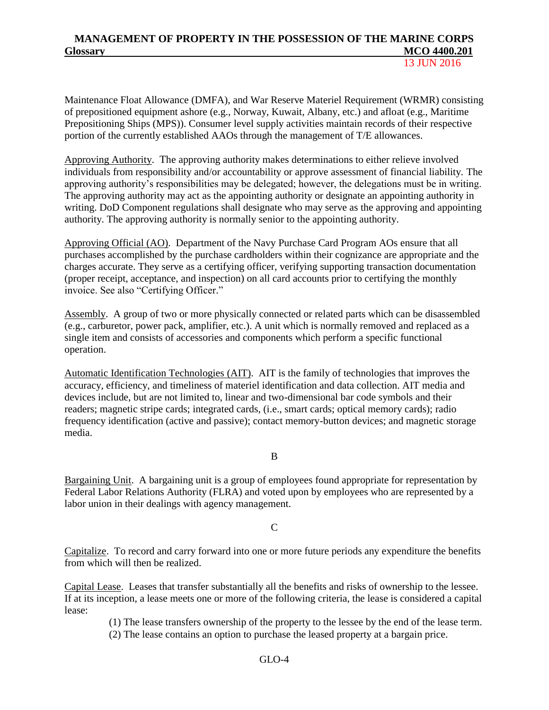13 JUN 2016

Maintenance Float Allowance (DMFA), and War Reserve Materiel Requirement (WRMR) consisting of prepositioned equipment ashore (e.g., Norway, Kuwait, Albany, etc.) and afloat (e.g., Maritime Prepositioning Ships (MPS)). Consumer level supply activities maintain records of their respective portion of the currently established AAOs through the management of T/E allowances.

Approving Authority. The approving authority makes determinations to either relieve involved individuals from responsibility and/or accountability or approve assessment of financial liability. The approving authority's responsibilities may be delegated; however, the delegations must be in writing. The approving authority may act as the appointing authority or designate an appointing authority in writing. DoD Component regulations shall designate who may serve as the approving and appointing authority. The approving authority is normally senior to the appointing authority.

Approving Official (AO). Department of the Navy Purchase Card Program AOs ensure that all purchases accomplished by the purchase cardholders within their cognizance are appropriate and the charges accurate. They serve as a certifying officer, verifying supporting transaction documentation (proper receipt, acceptance, and inspection) on all card accounts prior to certifying the monthly invoice. See also "Certifying Officer."

Assembly. A group of two or more physically connected or related parts which can be disassembled (e.g., carburetor, power pack, amplifier, etc.). A unit which is normally removed and replaced as a single item and consists of accessories and components which perform a specific functional operation.

Automatic Identification Technologies (AIT). AIT is the family of technologies that improves the accuracy, efficiency, and timeliness of materiel identification and data collection. AIT media and devices include, but are not limited to, linear and two-dimensional bar code symbols and their readers; magnetic stripe cards; integrated cards, (i.e., smart cards; optical memory cards); radio frequency identification (active and passive); contact memory-button devices; and magnetic storage media.

B

Bargaining Unit. A bargaining unit is a group of employees found appropriate for representation by Federal Labor Relations Authority (FLRA) and voted upon by employees who are represented by a labor union in their dealings with agency management.

#### C

Capitalize. To record and carry forward into one or more future periods any expenditure the benefits from which will then be realized.

Capital Lease. Leases that transfer substantially all the benefits and risks of ownership to the lessee. If at its inception, a lease meets one or more of the following criteria, the lease is considered a capital lease:

(1) The lease transfers ownership of the property to the lessee by the end of the lease term.

(2) The lease contains an option to purchase the leased property at a bargain price.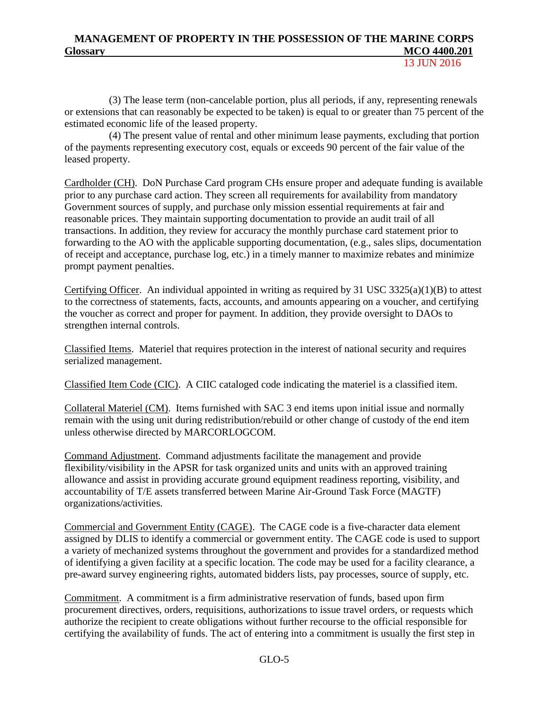13 JUN 2016

(3) The lease term (non-cancelable portion, plus all periods, if any, representing renewals or extensions that can reasonably be expected to be taken) is equal to or greater than 75 percent of the estimated economic life of the leased property.

(4) The present value of rental and other minimum lease payments, excluding that portion of the payments representing executory cost, equals or exceeds 90 percent of the fair value of the leased property.

Cardholder (CH). DoN Purchase Card program CHs ensure proper and adequate funding is available prior to any purchase card action. They screen all requirements for availability from mandatory Government sources of supply, and purchase only mission essential requirements at fair and reasonable prices. They maintain supporting documentation to provide an audit trail of all transactions. In addition, they review for accuracy the monthly purchase card statement prior to forwarding to the AO with the applicable supporting documentation, (e.g., sales slips, documentation of receipt and acceptance, purchase log, etc.) in a timely manner to maximize rebates and minimize prompt payment penalties.

Certifying Officer. An individual appointed in writing as required by 31 USC  $3325(a)(1)(B)$  to attest to the correctness of statements, facts, accounts, and amounts appearing on a voucher, and certifying the voucher as correct and proper for payment. In addition, they provide oversight to DAOs to strengthen internal controls.

Classified Items. Materiel that requires protection in the interest of national security and requires serialized management.

Classified Item Code (CIC). A CIIC cataloged code indicating the materiel is a classified item.

Collateral Materiel (CM). Items furnished with SAC 3 end items upon initial issue and normally remain with the using unit during redistribution/rebuild or other change of custody of the end item unless otherwise directed by MARCORLOGCOM.

Command Adjustment. Command adjustments facilitate the management and provide flexibility/visibility in the APSR for task organized units and units with an approved training allowance and assist in providing accurate ground equipment readiness reporting, visibility, and accountability of T/E assets transferred between Marine Air-Ground Task Force (MAGTF) organizations/activities.

Commercial and Government Entity (CAGE). The CAGE code is a five-character data element assigned by DLIS to identify a commercial or government entity. The CAGE code is used to support a variety of mechanized systems throughout the government and provides for a standardized method of identifying a given facility at a specific location. The code may be used for a facility clearance, a pre-award survey engineering rights, automated bidders lists, pay processes, source of supply, etc.

Commitment. A commitment is a firm administrative reservation of funds, based upon firm procurement directives, orders, requisitions, authorizations to issue travel orders, or requests which authorize the recipient to create obligations without further recourse to the official responsible for certifying the availability of funds. The act of entering into a commitment is usually the first step in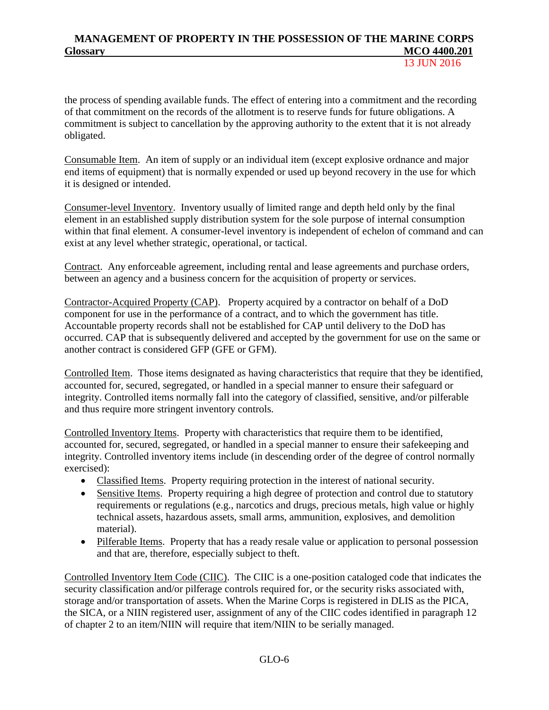the process of spending available funds. The effect of entering into a commitment and the recording of that commitment on the records of the allotment is to reserve funds for future obligations. A commitment is subject to cancellation by the approving authority to the extent that it is not already obligated.

Consumable Item. An item of supply or an individual item (except explosive ordnance and major end items of equipment) that is normally expended or used up beyond recovery in the use for which it is designed or intended.

Consumer-level Inventory. Inventory usually of limited range and depth held only by the final element in an established supply distribution system for the sole purpose of internal consumption within that final element. A consumer-level inventory is independent of echelon of command and can exist at any level whether strategic, operational, or tactical.

Contract. Any enforceable agreement, including rental and lease agreements and purchase orders, between an agency and a business concern for the acquisition of property or services.

Contractor-Acquired Property (CAP). Property acquired by a contractor on behalf of a DoD component for use in the performance of a contract, and to which the government has title. Accountable property records shall not be established for CAP until delivery to the DoD has occurred. CAP that is subsequently delivered and accepted by the government for use on the same or another contract is considered GFP (GFE or GFM).

Controlled Item. Those items designated as having characteristics that require that they be identified, accounted for, secured, segregated, or handled in a special manner to ensure their safeguard or integrity. Controlled items normally fall into the category of classified, sensitive, and/or pilferable and thus require more stringent inventory controls.

Controlled Inventory Items. Property with characteristics that require them to be identified, accounted for, secured, segregated, or handled in a special manner to ensure their safekeeping and integrity. Controlled inventory items include (in descending order of the degree of control normally exercised):

- Classified Items. Property requiring protection in the interest of national security.
- Sensitive Items. Property requiring a high degree of protection and control due to statutory requirements or regulations (e.g., narcotics and drugs, precious metals, high value or highly technical assets, hazardous assets, small arms, ammunition, explosives, and demolition material).
- Pilferable Items. Property that has a ready resale value or application to personal possession and that are, therefore, especially subject to theft.

Controlled Inventory Item Code (CIIC). The CIIC is a one-position cataloged code that indicates the security classification and/or pilferage controls required for, or the security risks associated with, storage and/or transportation of assets. When the Marine Corps is registered in DLIS as the PICA, the SICA, or a NIIN registered user, assignment of any of the CIIC codes identified in paragraph 12 of chapter 2 to an item/NIIN will require that item/NIIN to be serially managed.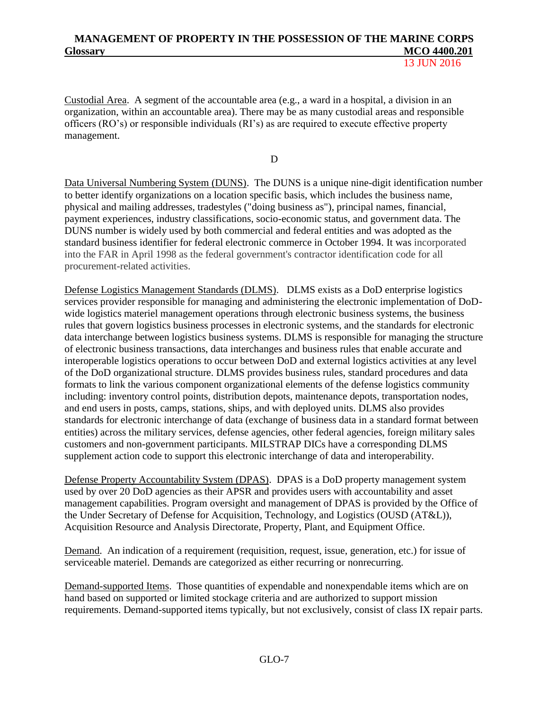Custodial Area. A segment of the accountable area (e.g., a ward in a hospital, a division in an organization, within an accountable area). There may be as many custodial areas and responsible officers (RO's) or responsible individuals (RI's) as are required to execute effective property management.

D

Data Universal Numbering System (DUNS). The DUNS is a unique nine-digit identification number to better identify organizations on a location specific basis, which includes the business name, physical and mailing addresses, tradestyles ("doing business as"), principal names, financial, payment experiences, industry classifications, socio-economic status, and government data. The DUNS number is widely used by both commercial and federal entities and was adopted as the standard business identifier for federal electronic commerce in October 1994. It was incorporated into the FAR in April 1998 as the federal government's contractor identification code for all procurement-related activities.

Defense Logistics Management Standards (DLMS). DLMS exists as a DoD enterprise logistics services provider responsible for managing and administering the electronic implementation of DoDwide logistics materiel management operations through electronic business systems, the business rules that govern logistics business processes in electronic systems, and the standards for electronic data interchange between logistics business systems. DLMS is responsible for managing the structure of electronic business transactions, data interchanges and business rules that enable accurate and interoperable logistics operations to occur between DoD and external logistics activities at any level of the DoD organizational structure. DLMS provides business rules, standard procedures and data formats to link the various component organizational elements of the defense logistics community including: inventory control points, distribution depots, maintenance depots, transportation nodes, and end users in posts, camps, stations, ships, and with deployed units. DLMS also provides standards for electronic interchange of data (exchange of business data in a standard format between entities) across the military services, defense agencies, other federal agencies, foreign military sales customers and non-government participants. MILSTRAP DICs have a corresponding DLMS supplement action code to support this electronic interchange of data and interoperability.

Defense Property Accountability System (DPAS). DPAS is a DoD property management system used by over 20 DoD agencies as their APSR and provides users with accountability and asset management capabilities. Program oversight and management of DPAS is provided by the Office of the Under Secretary of Defense for Acquisition, Technology, and Logistics (OUSD (AT&L)), Acquisition Resource and Analysis Directorate, Property, Plant, and Equipment Office.

Demand. An indication of a requirement (requisition, request, issue, generation, etc.) for issue of serviceable materiel. Demands are categorized as either recurring or nonrecurring.

Demand-supported Items. Those quantities of expendable and nonexpendable items which are on hand based on supported or limited stockage criteria and are authorized to support mission requirements. Demand-supported items typically, but not exclusively, consist of class IX repair parts.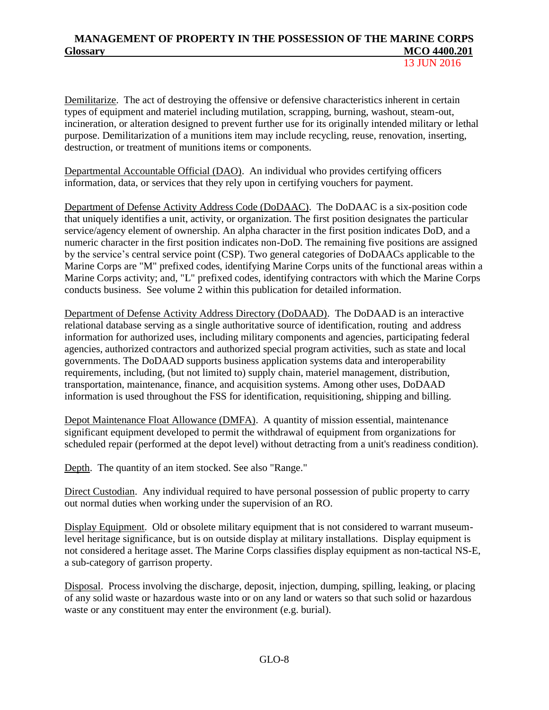13 JUN 2016

Demilitarize. The act of destroying the offensive or defensive characteristics inherent in certain types of equipment and materiel including mutilation, scrapping, burning, washout, steam-out, incineration, or alteration designed to prevent further use for its originally intended military or lethal purpose. Demilitarization of a munitions item may include recycling, reuse, renovation, inserting, destruction, or treatment of munitions items or components.

Departmental Accountable Official (DAO). An individual who provides certifying officers information, data, or services that they rely upon in certifying vouchers for payment.

Department of Defense Activity Address Code (DoDAAC). The DoDAAC is a six-position code that uniquely identifies a unit, activity, or organization. The first position designates the particular service/agency element of ownership. An alpha character in the first position indicates DoD, and a numeric character in the first position indicates non-DoD. The remaining five positions are assigned by the service's central service point (CSP). Two general categories of DoDAACs applicable to the Marine Corps are "M" prefixed codes, identifying Marine Corps units of the functional areas within a Marine Corps activity; and, "L" prefixed codes, identifying contractors with which the Marine Corps conducts business. See volume 2 within this publication for detailed information.

Department of Defense Activity Address Directory (DoDAAD). The DoDAAD is an interactive relational database serving as a single authoritative source of identification, routing and address information for authorized uses, including military components and agencies, participating federal agencies, authorized contractors and authorized special program activities, such as state and local governments. The DoDAAD supports business application systems data and interoperability requirements, including, (but not limited to) supply chain, materiel management, distribution, transportation, maintenance, finance, and acquisition systems. Among other uses, DoDAAD information is used throughout the FSS for identification, requisitioning, shipping and billing.

Depot Maintenance Float Allowance (DMFA). A quantity of mission essential, maintenance significant equipment developed to permit the withdrawal of equipment from organizations for scheduled repair (performed at the depot level) without detracting from a unit's readiness condition).

Depth. The quantity of an item stocked. See also "Range."

Direct Custodian. Any individual required to have personal possession of public property to carry out normal duties when working under the supervision of an RO.

Display Equipment. Old or obsolete military equipment that is not considered to warrant museumlevel heritage significance, but is on outside display at military installations. Display equipment is not considered a heritage asset. The Marine Corps classifies display equipment as non-tactical NS-E, a sub-category of garrison property.

Disposal. Process involving the discharge, deposit, injection, dumping, spilling, leaking, or placing of any solid waste or hazardous waste into or on any land or waters so that such solid or hazardous waste or any constituent may enter the environment (e.g. burial).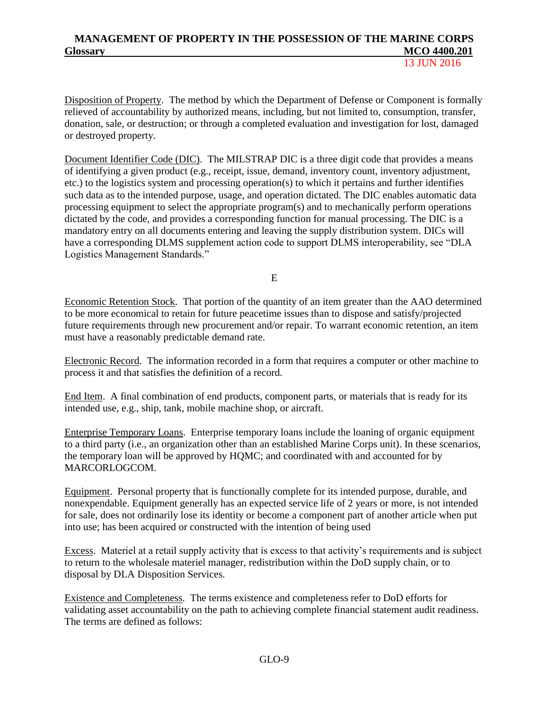Disposition of Property. The method by which the Department of Defense or Component is formally relieved of accountability by authorized means, including, but not limited to, consumption, transfer, donation, sale, or destruction; or through a completed evaluation and investigation for lost, damaged or destroyed property.

Document Identifier Code (DIC). The MILSTRAP DIC is a three digit code that provides a means of identifying a given product (e.g., receipt, issue, demand, inventory count, inventory adjustment, etc.) to the logistics system and processing operation(s) to which it pertains and further identifies such data as to the intended purpose, usage, and operation dictated. The DIC enables automatic data processing equipment to select the appropriate program(s) and to mechanically perform operations dictated by the code, and provides a corresponding function for manual processing. The DIC is a mandatory entry on all documents entering and leaving the supply distribution system. DICs will have a corresponding DLMS supplement action code to support DLMS interoperability, see "DLA Logistics Management Standards."

E

Economic Retention Stock. That portion of the quantity of an item greater than the AAO determined to be more economical to retain for future peacetime issues than to dispose and satisfy/projected future requirements through new procurement and/or repair. To warrant economic retention, an item must have a reasonably predictable demand rate.

Electronic Record. The information recorded in a form that requires a computer or other machine to process it and that satisfies the definition of a record.

End Item. A final combination of end products, component parts, or materials that is ready for its intended use, e.g., ship, tank, mobile machine shop, or aircraft.

Enterprise Temporary Loans. Enterprise temporary loans include the loaning of organic equipment to a third party (i.e., an organization other than an established Marine Corps unit). In these scenarios, the temporary loan will be approved by HQMC; and coordinated with and accounted for by MARCORLOGCOM.

Equipment. Personal property that is functionally complete for its intended purpose, durable, and nonexpendable. Equipment generally has an expected service life of 2 years or more, is not intended for sale, does not ordinarily lose its identity or become a component part of another article when put into use; has been acquired or constructed with the intention of being used

Excess. Materiel at a retail supply activity that is excess to that activity's requirements and is subject to return to the wholesale materiel manager, redistribution within the DoD supply chain, or to disposal by DLA Disposition Services.

Existence and Completeness. The terms existence and completeness refer to DoD efforts for validating asset accountability on the path to achieving complete financial statement audit readiness. The terms are defined as follows: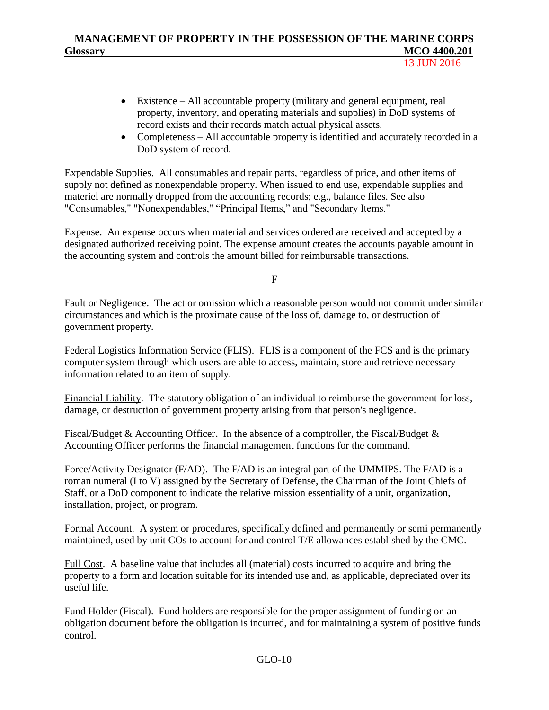13 JUN 2016

- Existence All accountable property (military and general equipment, real property, inventory, and operating materials and supplies) in DoD systems of record exists and their records match actual physical assets.
- Completeness All accountable property is identified and accurately recorded in a DoD system of record.

Expendable Supplies. All consumables and repair parts, regardless of price, and other items of supply not defined as nonexpendable property. When issued to end use, expendable supplies and materiel are normally dropped from the accounting records; e.g., balance files. See also "Consumables," "Nonexpendables," "Principal Items," and "Secondary Items."

Expense. An expense occurs when material and services ordered are received and accepted by a designated authorized receiving point. The expense amount creates the accounts payable amount in the accounting system and controls the amount billed for reimbursable transactions.

F

Fault or Negligence. The act or omission which a reasonable person would not commit under similar circumstances and which is the proximate cause of the loss of, damage to, or destruction of government property.

Federal Logistics Information Service (FLIS). FLIS is a component of the FCS and is the primary computer system through which users are able to access, maintain, store and retrieve necessary information related to an item of supply.

Financial Liability. The statutory obligation of an individual to reimburse the government for loss, damage, or destruction of government property arising from that person's negligence.

Fiscal/Budget & Accounting Officer. In the absence of a comptroller, the Fiscal/Budget & Accounting Officer performs the financial management functions for the command.

Force/Activity Designator (F/AD). The F/AD is an integral part of the UMMIPS. The F/AD is a roman numeral (I to V) assigned by the Secretary of Defense, the Chairman of the Joint Chiefs of Staff, or a DoD component to indicate the relative mission essentiality of a unit, organization, installation, project, or program.

Formal Account. A system or procedures, specifically defined and permanently or semi permanently maintained, used by unit COs to account for and control T/E allowances established by the CMC.

Full Cost. A baseline value that includes all (material) costs incurred to acquire and bring the property to a form and location suitable for its intended use and, as applicable, depreciated over its useful life.

Fund Holder (Fiscal). Fund holders are responsible for the proper assignment of funding on an obligation document before the obligation is incurred, and for maintaining a system of positive funds control.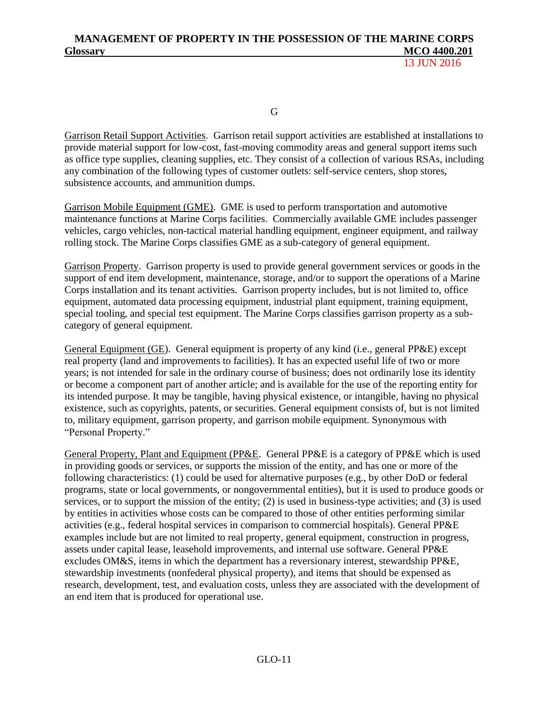G

Garrison Retail Support Activities. Garrison retail support activities are established at installations to provide material support for low-cost, fast-moving commodity areas and general support items such as office type supplies, cleaning supplies, etc. They consist of a collection of various RSAs, including any combination of the following types of customer outlets: self-service centers, shop stores, subsistence accounts, and ammunition dumps.

Garrison Mobile Equipment (GME). GME is used to perform transportation and automotive maintenance functions at Marine Corps facilities. Commercially available GME includes passenger vehicles, cargo vehicles, non-tactical material handling equipment, engineer equipment, and railway rolling stock. The Marine Corps classifies GME as a sub-category of general equipment.

Garrison Property. Garrison property is used to provide general government services or goods in the support of end item development, maintenance, storage, and/or to support the operations of a Marine Corps installation and its tenant activities. Garrison property includes, but is not limited to, office equipment, automated data processing equipment, industrial plant equipment, training equipment, special tooling, and special test equipment. The Marine Corps classifies garrison property as a subcategory of general equipment.

General Equipment (GE). General equipment is property of any kind (i.e., general PP&E) except real property (land and improvements to facilities). It has an expected useful life of two or more years; is not intended for sale in the ordinary course of business; does not ordinarily lose its identity or become a component part of another article; and is available for the use of the reporting entity for its intended purpose. It may be tangible, having physical existence, or intangible, having no physical existence, such as copyrights, patents, or securities. General equipment consists of, but is not limited to, military equipment, garrison property, and garrison mobile equipment. Synonymous with "Personal Property."

General Property, Plant and Equipment (PP&E. General PP&E is a category of PP&E which is used in providing goods or services, or supports the mission of the entity, and has one or more of the following characteristics: (1) could be used for alternative purposes (e.g., by other DoD or federal programs, state or local governments, or nongovernmental entities), but it is used to produce goods or services, or to support the mission of the entity; (2) is used in business-type activities; and (3) is used by entities in activities whose costs can be compared to those of other entities performing similar activities (e.g., federal hospital services in comparison to commercial hospitals). General PP&E examples include but are not limited to real property, general equipment, construction in progress, assets under capital lease, leasehold improvements, and internal use software. General PP&E excludes OM&S, items in which the department has a reversionary interest, stewardship PP&E, stewardship investments (nonfederal physical property), and items that should be expensed as research, development, test, and evaluation costs, unless they are associated with the development of an end item that is produced for operational use.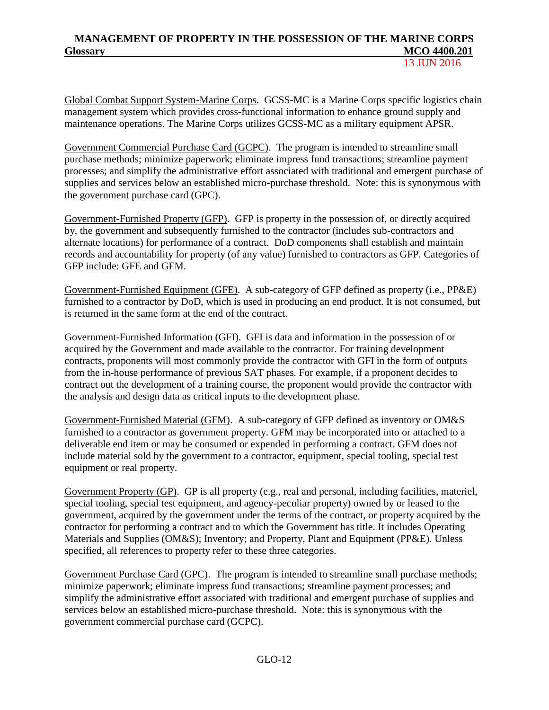13 **ILIN 2016** 

Global Combat Support System-Marine Corps. GCSS-MC is a Marine Corps specific logistics chain management system which provides cross-functional information to enhance ground supply and maintenance operations. The Marine Corps utilizes GCSS-MC as a military equipment APSR.

Government Commercial Purchase Card (GCPC). The program is intended to streamline small purchase methods; minimize paperwork; eliminate impress fund transactions; streamline payment processes; and simplify the administrative effort associated with traditional and emergent purchase of supplies and services below an established micro-purchase threshold. Note: this is synonymous with the government purchase card (GPC).

Government-Furnished Property (GFP). GFP is property in the possession of, or directly acquired by, the government and subsequently furnished to the contractor (includes sub-contractors and alternate locations) for performance of a contract. DoD components shall establish and maintain records and accountability for property (of any value) furnished to contractors as GFP. Categories of GFP include: GFE and GFM.

Government-Furnished Equipment (GFE). A sub-category of GFP defined as property (i.e., PP&E) furnished to a contractor by DoD, which is used in producing an end product. It is not consumed, but is returned in the same form at the end of the contract.

Government-Furnished Information (GFI). GFI is data and information in the possession of or acquired by the Government and made available to the contractor. For training development contracts, proponents will most commonly provide the contractor with GFI in the form of outputs from the in-house performance of previous SAT phases. For example, if a proponent decides to contract out the development of a training course, the proponent would provide the contractor with the analysis and design data as critical inputs to the development phase.

Government-Furnished Material (GFM). A sub-category of GFP defined as inventory or OM&S furnished to a contractor as government property. GFM may be incorporated into or attached to a deliverable end item or may be consumed or expended in performing a contract. GFM does not include material sold by the government to a contractor, equipment, special tooling, special test equipment or real property.

Government Property (GP). GP is all property (e.g., real and personal, including facilities, materiel, special tooling, special test equipment, and agency-peculiar property) owned by or leased to the government, acquired by the government under the terms of the contract, or property acquired by the contractor for performing a contract and to which the Government has title. It includes Operating Materials and Supplies (OM&S); Inventory; and Property, Plant and Equipment (PP&E). Unless specified, all references to property refer to these three categories.

Government Purchase Card (GPC). The program is intended to streamline small purchase methods; minimize paperwork; eliminate impress fund transactions; streamline payment processes; and simplify the administrative effort associated with traditional and emergent purchase of supplies and services below an established micro-purchase threshold. Note: this is synonymous with the government commercial purchase card (GCPC).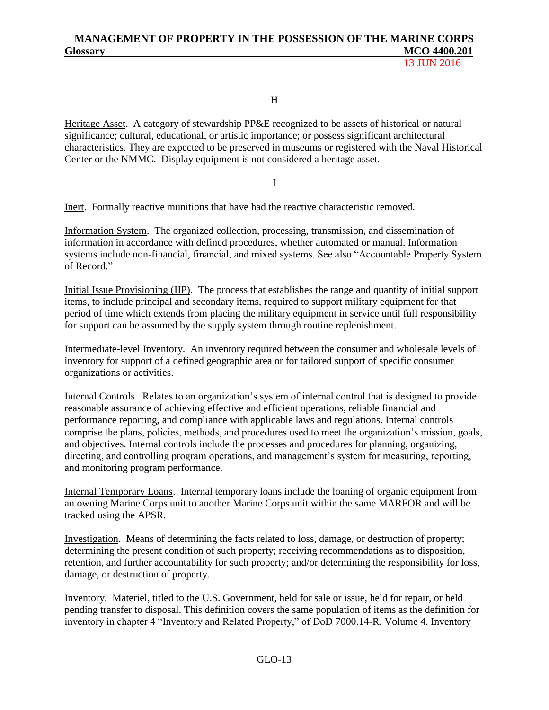13 **ILIN 2016** 

H

Heritage Asset. A category of stewardship PP&E recognized to be assets of historical or natural significance; cultural, educational, or artistic importance; or possess significant architectural characteristics. They are expected to be preserved in museums or registered with the Naval Historical Center or the NMMC. Display equipment is not considered a heritage asset.

I

Inert. Formally reactive munitions that have had the reactive characteristic removed.

Information System. The organized collection, processing, transmission, and dissemination of information in accordance with defined procedures, whether automated or manual. Information systems include non-financial, financial, and mixed systems. See also "Accountable Property System of Record."

Initial Issue Provisioning (IIP). The process that establishes the range and quantity of initial support items, to include principal and secondary items, required to support military equipment for that period of time which extends from placing the military equipment in service until full responsibility for support can be assumed by the supply system through routine replenishment.

Intermediate-level Inventory. An inventory required between the consumer and wholesale levels of inventory for support of a defined geographic area or for tailored support of specific consumer organizations or activities.

Internal Controls. Relates to an organization's system of internal control that is designed to provide reasonable assurance of achieving effective and efficient operations, reliable financial and performance reporting, and compliance with applicable laws and regulations. Internal controls comprise the plans, policies, methods, and procedures used to meet the organization's mission, goals, and objectives. Internal controls include the processes and procedures for planning, organizing, directing, and controlling program operations, and management's system for measuring, reporting, and monitoring program performance.

Internal Temporary Loans. Internal temporary loans include the loaning of organic equipment from an owning Marine Corps unit to another Marine Corps unit within the same MARFOR and will be tracked using the APSR.

Investigation. Means of determining the facts related to loss, damage, or destruction of property; determining the present condition of such property; receiving recommendations as to disposition, retention, and further accountability for such property; and/or determining the responsibility for loss, damage, or destruction of property.

Inventory. Materiel, titled to the U.S. Government, held for sale or issue, held for repair, or held pending transfer to disposal. This definition covers the same population of items as the definition for inventory in chapter 4 "Inventory and Related Property," of DoD 7000.14-R, Volume 4. Inventory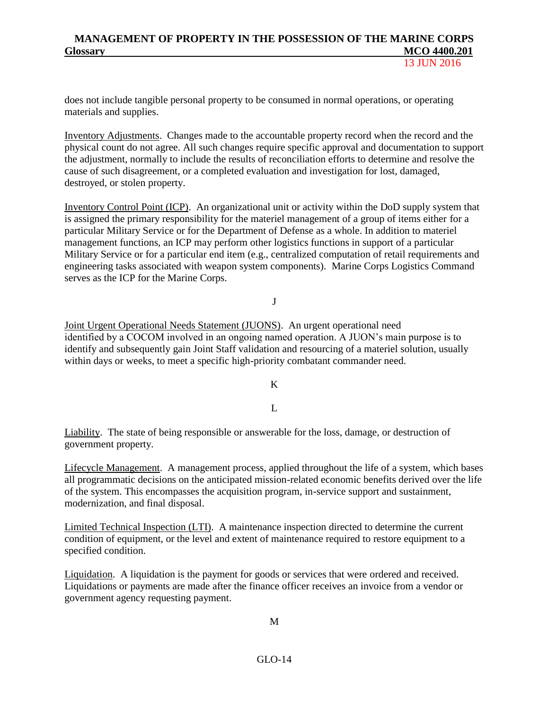13 **ILIN 2016** 

does not include tangible personal property to be consumed in normal operations, or operating materials and supplies.

Inventory Adjustments. Changes made to the accountable property record when the record and the physical count do not agree. All such changes require specific approval and documentation to support the adjustment, normally to include the results of reconciliation efforts to determine and resolve the cause of such disagreement, or a completed evaluation and investigation for lost, damaged, destroyed, or stolen property.

Inventory Control Point (ICP). An organizational unit or activity within the DoD supply system that is assigned the primary responsibility for the materiel management of a group of items either for a particular Military Service or for the Department of Defense as a whole. In addition to materiel management functions, an ICP may perform other logistics functions in support of a particular Military Service or for a particular end item (e.g., centralized computation of retail requirements and engineering tasks associated with weapon system components). Marine Corps Logistics Command serves as the ICP for the Marine Corps.

### J

Joint Urgent Operational Needs Statement (JUONS). An urgent operational need identified by a COCOM involved in an ongoing named operation. A JUON's main purpose is to identify and subsequently gain Joint Staff validation and resourcing of a materiel solution, usually within days or weeks, to meet a specific high-priority combatant commander need.

#### K

### $\mathbf{L}$

Liability. The state of being responsible or answerable for the loss, damage, or destruction of government property.

Lifecycle Management. A management process, applied throughout the life of a system, which bases all programmatic decisions on the anticipated mission-related economic benefits derived over the life of the system. This encompasses the acquisition program, in-service support and sustainment, modernization, and final disposal.

Limited Technical Inspection (LTI). A maintenance inspection directed to determine the current condition of equipment, or the level and extent of maintenance required to restore equipment to a specified condition.

Liquidation. A liquidation is the payment for goods or services that were ordered and received. Liquidations or payments are made after the finance officer receives an invoice from a vendor or government agency requesting payment.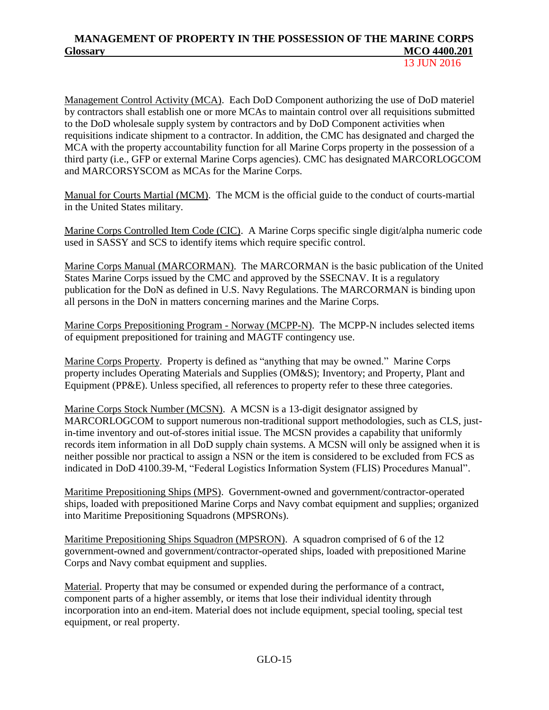13 JUN 2016

Management Control Activity (MCA). Each DoD Component authorizing the use of DoD materiel by contractors shall establish one or more MCAs to maintain control over all requisitions submitted to the DoD wholesale supply system by contractors and by DoD Component activities when requisitions indicate shipment to a contractor. In addition, the CMC has designated and charged the MCA with the property accountability function for all Marine Corps property in the possession of a third party (i.e., GFP or external Marine Corps agencies). CMC has designated MARCORLOGCOM and MARCORSYSCOM as MCAs for the Marine Corps.

Manual for Courts Martial (MCM). The MCM is the official guide to the conduct of courts-martial in the United States military.

Marine Corps Controlled Item Code (CIC). A Marine Corps specific single digit/alpha numeric code used in SASSY and SCS to identify items which require specific control.

Marine Corps Manual (MARCORMAN). The MARCORMAN is the basic publication of the United States Marine Corps issued by the CMC and approved by the SSECNAV. It is a regulatory publication for the DoN as defined in U.S. Navy Regulations. The MARCORMAN is binding upon all persons in the DoN in matters concerning marines and the Marine Corps.

Marine Corps Prepositioning Program - Norway (MCPP-N). The MCPP-N includes selected items of equipment prepositioned for training and MAGTF contingency use.

Marine Corps Property. Property is defined as "anything that may be owned." Marine Corps property includes Operating Materials and Supplies (OM&S); Inventory; and Property, Plant and Equipment (PP&E). Unless specified, all references to property refer to these three categories.

Marine Corps Stock Number (MCSN). A MCSN is a 13-digit designator assigned by MARCORLOGCOM to support numerous non-traditional support methodologies, such as CLS, justin-time inventory and out-of-stores initial issue. The MCSN provides a capability that uniformly records item information in all DoD supply chain systems. A MCSN will only be assigned when it is neither possible nor practical to assign a NSN or the item is considered to be excluded from FCS as indicated in DoD 4100.39-M, "Federal Logistics Information System (FLIS) Procedures Manual".

Maritime Prepositioning Ships (MPS). Government-owned and government/contractor-operated ships, loaded with prepositioned Marine Corps and Navy combat equipment and supplies; organized into Maritime Prepositioning Squadrons (MPSRONs).

Maritime Prepositioning Ships Squadron (MPSRON). A squadron comprised of 6 of the 12 government-owned and government/contractor-operated ships, loaded with prepositioned Marine Corps and Navy combat equipment and supplies.

Material. Property that may be consumed or expended during the performance of a contract, component parts of a higher assembly, or items that lose their individual identity through incorporation into an end-item. Material does not include equipment, special tooling, special test equipment, or real property.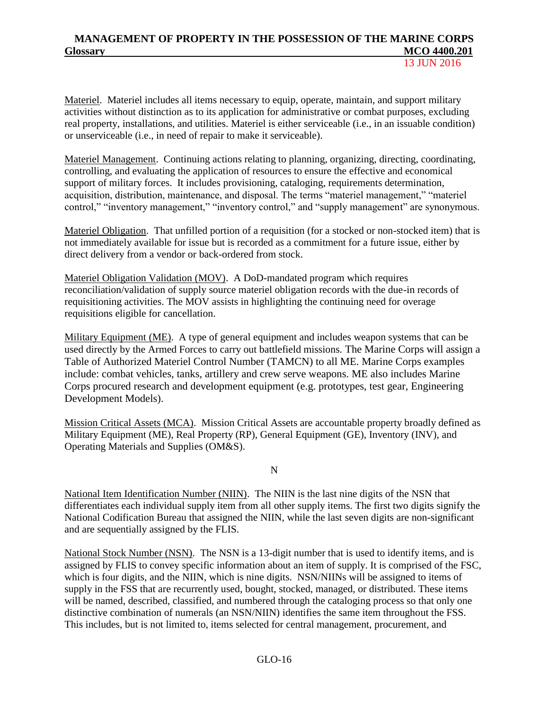Materiel. Materiel includes all items necessary to equip, operate, maintain, and support military activities without distinction as to its application for administrative or combat purposes, excluding real property, installations, and utilities. Materiel is either serviceable (i.e., in an issuable condition) or unserviceable (i.e., in need of repair to make it serviceable).

Materiel Management. Continuing actions relating to planning, organizing, directing, coordinating, controlling, and evaluating the application of resources to ensure the effective and economical support of military forces. It includes provisioning, cataloging, requirements determination, acquisition, distribution, maintenance, and disposal. The terms "materiel management," "materiel control," "inventory management," "inventory control," and "supply management" are synonymous.

Materiel Obligation. That unfilled portion of a requisition (for a stocked or non-stocked item) that is not immediately available for issue but is recorded as a commitment for a future issue, either by direct delivery from a vendor or back-ordered from stock.

Materiel Obligation Validation (MOV). A DoD-mandated program which requires reconciliation/validation of supply source materiel obligation records with the due-in records of requisitioning activities. The MOV assists in highlighting the continuing need for overage requisitions eligible for cancellation.

Military Equipment (ME). A type of general equipment and includes weapon systems that can be used directly by the Armed Forces to carry out battlefield missions. The Marine Corps will assign a Table of Authorized Materiel Control Number (TAMCN) to all ME. Marine Corps examples include: combat vehicles, tanks, artillery and crew serve weapons. ME also includes Marine Corps procured research and development equipment (e.g. prototypes, test gear, Engineering Development Models).

Mission Critical Assets (MCA). Mission Critical Assets are accountable property broadly defined as Military Equipment (ME), Real Property (RP), General Equipment (GE), Inventory (INV), and Operating Materials and Supplies (OM&S).

N

National Item Identification Number (NIIN). The NIIN is the last nine digits of the NSN that differentiates each individual supply item from all other supply items. The first two digits signify the National Codification Bureau that assigned the NIIN, while the last seven digits are non-significant and are sequentially assigned by the FLIS.

National Stock Number (NSN). The NSN is a 13-digit number that is used to identify items, and is assigned by FLIS to convey specific information about an item of supply. It is comprised of the FSC, which is four digits, and the NIIN, which is nine digits. NSN/NIINs will be assigned to items of supply in the FSS that are recurrently used, bought, stocked, managed, or distributed. These items will be named, described, classified, and numbered through the cataloging process so that only one distinctive combination of numerals (an NSN/NIIN) identifies the same item throughout the FSS. This includes, but is not limited to, items selected for central management, procurement, and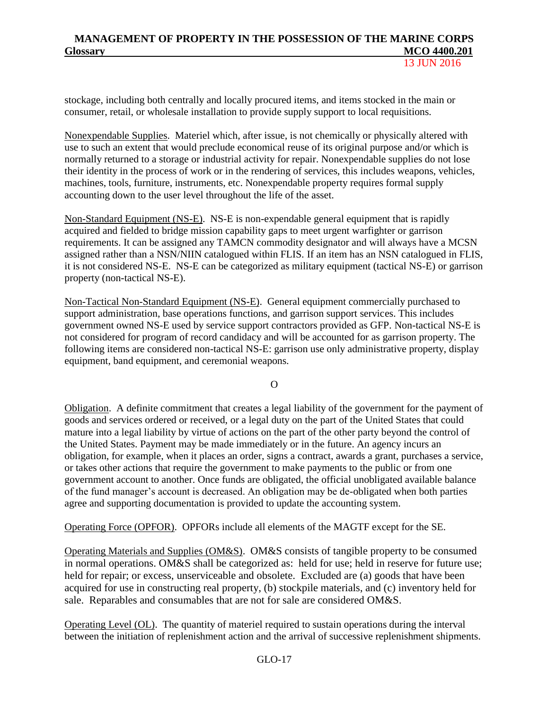stockage, including both centrally and locally procured items, and items stocked in the main or consumer, retail, or wholesale installation to provide supply support to local requisitions.

Nonexpendable Supplies. Materiel which, after issue, is not chemically or physically altered with use to such an extent that would preclude economical reuse of its original purpose and/or which is normally returned to a storage or industrial activity for repair. Nonexpendable supplies do not lose their identity in the process of work or in the rendering of services, this includes weapons, vehicles, machines, tools, furniture, instruments, etc. Nonexpendable property requires formal supply accounting down to the user level throughout the life of the asset.

Non-Standard Equipment (NS-E). NS-E is non-expendable general equipment that is rapidly acquired and fielded to bridge mission capability gaps to meet urgent warfighter or garrison requirements. It can be assigned any TAMCN commodity designator and will always have a MCSN assigned rather than a NSN/NIIN catalogued within FLIS. If an item has an NSN catalogued in FLIS, it is not considered NS-E. NS-E can be categorized as military equipment (tactical NS-E) or garrison property (non-tactical NS-E).

Non-Tactical Non-Standard Equipment (NS-E). General equipment commercially purchased to support administration, base operations functions, and garrison support services. This includes government owned NS-E used by service support contractors provided as GFP. Non-tactical NS-E is not considered for program of record candidacy and will be accounted for as garrison property. The following items are considered non-tactical NS-E: garrison use only administrative property, display equipment, band equipment, and ceremonial weapons.

O

Obligation. A definite commitment that creates a legal liability of the government for the payment of goods and services ordered or received, or a legal duty on the part of the United States that could mature into a legal liability by virtue of actions on the part of the other party beyond the control of the United States. Payment may be made immediately or in the future. An agency incurs an obligation, for example, when it places an order, signs a contract, awards a grant, purchases a service, or takes other actions that require the government to make payments to the public or from one government account to another. Once funds are obligated, the official unobligated available balance of the fund manager's account is decreased. An obligation may be de-obligated when both parties agree and supporting documentation is provided to update the accounting system.

Operating Force (OPFOR). OPFORs include all elements of the MAGTF except for the SE.

Operating Materials and Supplies (OM&S). OM&S consists of tangible property to be consumed in normal operations. OM&S shall be categorized as: held for use; held in reserve for future use; held for repair; or excess, unserviceable and obsolete. Excluded are (a) goods that have been acquired for use in constructing real property, (b) stockpile materials, and (c) inventory held for sale. Reparables and consumables that are not for sale are considered OM&S.

Operating Level (OL). The quantity of materiel required to sustain operations during the interval between the initiation of replenishment action and the arrival of successive replenishment shipments.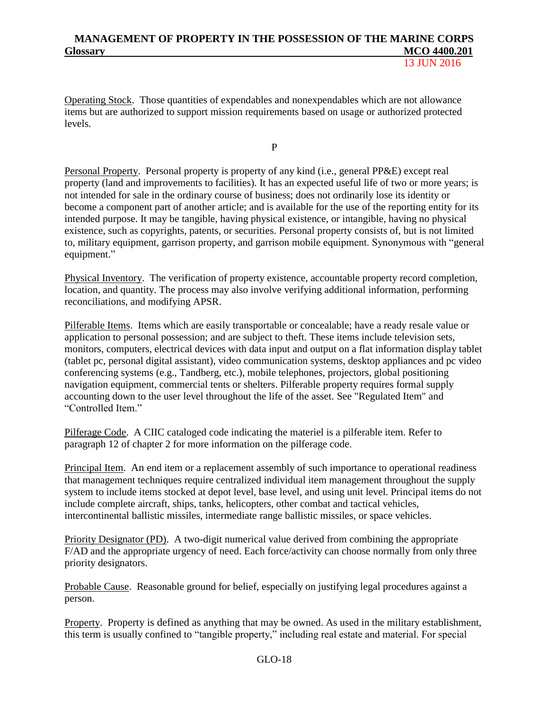Operating Stock. Those quantities of expendables and nonexpendables which are not allowance items but are authorized to support mission requirements based on usage or authorized protected levels.

P

Personal Property. Personal property is property of any kind (i.e., general PP&E) except real property (land and improvements to facilities). It has an expected useful life of two or more years; is not intended for sale in the ordinary course of business; does not ordinarily lose its identity or become a component part of another article; and is available for the use of the reporting entity for its intended purpose. It may be tangible, having physical existence, or intangible, having no physical existence, such as copyrights, patents, or securities. Personal property consists of, but is not limited to, military equipment, garrison property, and garrison mobile equipment. Synonymous with "general equipment."

Physical Inventory. The verification of property existence, accountable property record completion, location, and quantity. The process may also involve verifying additional information, performing reconciliations, and modifying APSR.

Pilferable Items. Items which are easily transportable or concealable; have a ready resale value or application to personal possession; and are subject to theft. These items include television sets, monitors, computers, electrical devices with data input and output on a flat information display tablet (tablet pc, personal digital assistant), video communication systems, desktop appliances and pc video conferencing systems (e.g., Tandberg, etc.), mobile telephones, projectors, global positioning navigation equipment, commercial tents or shelters. Pilferable property requires formal supply accounting down to the user level throughout the life of the asset. See "Regulated Item" and "Controlled Item."

Pilferage Code. A CIIC cataloged code indicating the materiel is a pilferable item. Refer to paragraph 12 of chapter 2 for more information on the pilferage code.

Principal Item. An end item or a replacement assembly of such importance to operational readiness that management techniques require centralized individual item management throughout the supply system to include items stocked at depot level, base level, and using unit level. Principal items do not include complete aircraft, ships, tanks, helicopters, other combat and tactical vehicles, intercontinental ballistic missiles, intermediate range ballistic missiles, or space vehicles.

Priority Designator (PD). A two-digit numerical value derived from combining the appropriate F/AD and the appropriate urgency of need. Each force/activity can choose normally from only three priority designators.

Probable Cause. Reasonable ground for belief, especially on justifying legal procedures against a person.

Property. Property is defined as anything that may be owned. As used in the military establishment, this term is usually confined to "tangible property," including real estate and material. For special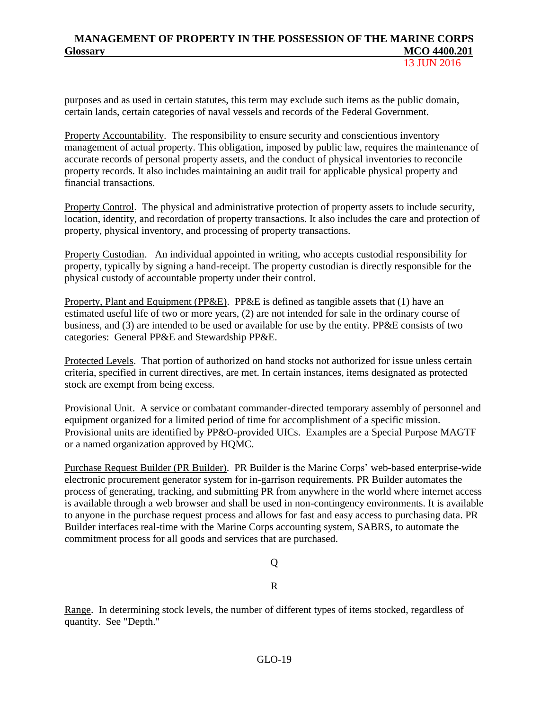13 **ILIN 2016** 

purposes and as used in certain statutes, this term may exclude such items as the public domain, certain lands, certain categories of naval vessels and records of the Federal Government.

Property Accountability. The responsibility to ensure security and conscientious inventory management of actual property. This obligation, imposed by public law, requires the maintenance of accurate records of personal property assets, and the conduct of physical inventories to reconcile property records. It also includes maintaining an audit trail for applicable physical property and financial transactions.

Property Control. The physical and administrative protection of property assets to include security, location, identity, and recordation of property transactions. It also includes the care and protection of property, physical inventory, and processing of property transactions.

Property Custodian. An individual appointed in writing, who accepts custodial responsibility for property, typically by signing a hand-receipt. The property custodian is directly responsible for the physical custody of accountable property under their control.

Property, Plant and Equipment (PP&E). PP&E is defined as tangible assets that (1) have an estimated useful life of two or more years, (2) are not intended for sale in the ordinary course of business, and (3) are intended to be used or available for use by the entity. PP&E consists of two categories: General PP&E and Stewardship PP&E.

Protected Levels. That portion of authorized on hand stocks not authorized for issue unless certain criteria, specified in current directives, are met. In certain instances, items designated as protected stock are exempt from being excess.

Provisional Unit. A service or combatant commander-directed temporary assembly of personnel and equipment organized for a limited period of time for accomplishment of a specific mission. Provisional units are identified by PP&O-provided UICs. Examples are a Special Purpose MAGTF or a named organization approved by HQMC.

Purchase Request Builder (PR Builder). PR Builder is the Marine Corps' web-based enterprise-wide electronic procurement generator system for in-garrison requirements. PR Builder automates the process of generating, tracking, and submitting PR from anywhere in the world where internet access is available through a web browser and shall be used in non-contingency environments. It is available to anyone in the purchase request process and allows for fast and easy access to purchasing data. PR Builder interfaces real-time with the Marine Corps accounting system, SABRS, to automate the commitment process for all goods and services that are purchased.

Q

R

Range. In determining stock levels, the number of different types of items stocked, regardless of quantity. See "Depth."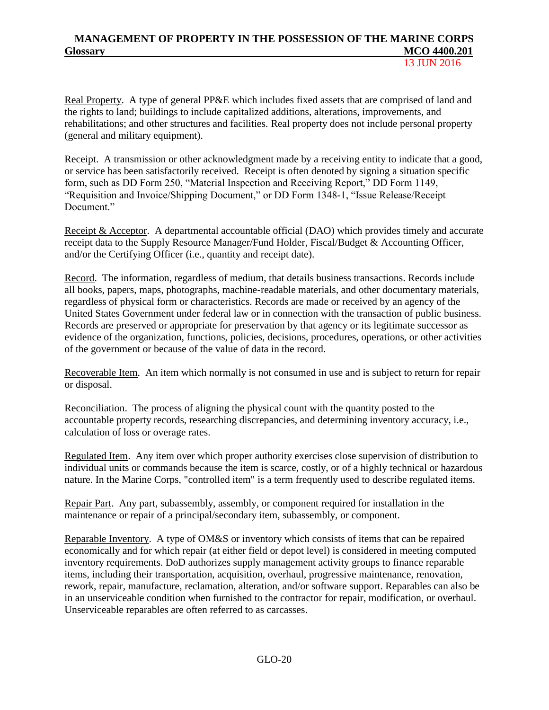13 **ILIN 2016** 

Real Property. A type of general PP&E which includes fixed assets that are comprised of land and the rights to land; buildings to include capitalized additions, alterations, improvements, and rehabilitations; and other structures and facilities. Real property does not include personal property (general and military equipment).

Receipt. A transmission or other acknowledgment made by a receiving entity to indicate that a good, or service has been satisfactorily received. Receipt is often denoted by signing a situation specific form, such as DD Form 250, "Material Inspection and Receiving Report," DD Form 1149, "Requisition and Invoice/Shipping Document," or DD Form 1348-1, "Issue Release/Receipt Document."

Receipt & Acceptor. A departmental accountable official (DAO) which provides timely and accurate receipt data to the Supply Resource Manager/Fund Holder, Fiscal/Budget & Accounting Officer, and/or the Certifying Officer (i.e., quantity and receipt date).

Record. The information, regardless of medium, that details business transactions. Records include all books, papers, maps, photographs, machine-readable materials, and other documentary materials, regardless of physical form or characteristics. Records are made or received by an agency of the United States Government under federal law or in connection with the transaction of public business. Records are preserved or appropriate for preservation by that agency or its legitimate successor as evidence of the organization, functions, policies, decisions, procedures, operations, or other activities of the government or because of the value of data in the record.

Recoverable Item. An item which normally is not consumed in use and is subject to return for repair or disposal.

Reconciliation. The process of aligning the physical count with the quantity posted to the accountable property records, researching discrepancies, and determining inventory accuracy, i.e., calculation of loss or overage rates.

Regulated Item. Any item over which proper authority exercises close supervision of distribution to individual units or commands because the item is scarce, costly, or of a highly technical or hazardous nature. In the Marine Corps, "controlled item" is a term frequently used to describe regulated items.

Repair Part. Any part, subassembly, assembly, or component required for installation in the maintenance or repair of a principal/secondary item, subassembly, or component.

Reparable Inventory. A type of OM&S or inventory which consists of items that can be repaired economically and for which repair (at either field or depot level) is considered in meeting computed inventory requirements. DoD authorizes supply management activity groups to finance reparable items, including their transportation, acquisition, overhaul, progressive maintenance, renovation, rework, repair, manufacture, reclamation, alteration, and/or software support. Reparables can also be in an unserviceable condition when furnished to the contractor for repair, modification, or overhaul. Unserviceable reparables are often referred to as carcasses.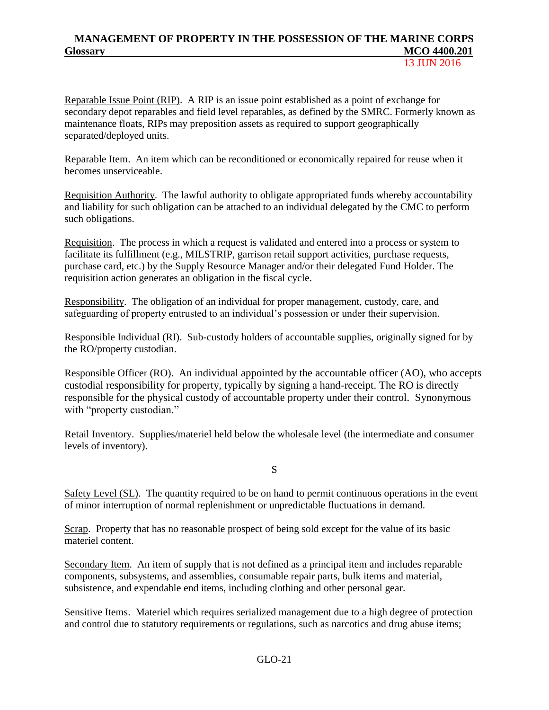13 JUN 2016

Reparable Issue Point (RIP). A RIP is an issue point established as a point of exchange for secondary depot reparables and field level reparables, as defined by the SMRC. Formerly known as maintenance floats, RIPs may preposition assets as required to support geographically separated/deployed units.

Reparable Item. An item which can be reconditioned or economically repaired for reuse when it becomes unserviceable.

Requisition Authority. The lawful authority to obligate appropriated funds whereby accountability and liability for such obligation can be attached to an individual delegated by the CMC to perform such obligations.

Requisition. The process in which a request is validated and entered into a process or system to facilitate its fulfillment (e.g., MILSTRIP, garrison retail support activities, purchase requests, purchase card, etc.) by the Supply Resource Manager and/or their delegated Fund Holder. The requisition action generates an obligation in the fiscal cycle.

Responsibility. The obligation of an individual for proper management, custody, care, and safeguarding of property entrusted to an individual's possession or under their supervision.

Responsible Individual (RI). Sub-custody holders of accountable supplies, originally signed for by the RO/property custodian.

Responsible Officer (RO). An individual appointed by the accountable officer (AO), who accepts custodial responsibility for property, typically by signing a hand-receipt. The RO is directly responsible for the physical custody of accountable property under their control. Synonymous with "property custodian."

Retail Inventory. Supplies/materiel held below the wholesale level (the intermediate and consumer levels of inventory).

S

Safety Level (SL). The quantity required to be on hand to permit continuous operations in the event of minor interruption of normal replenishment or unpredictable fluctuations in demand.

Scrap. Property that has no reasonable prospect of being sold except for the value of its basic materiel content.

Secondary Item. An item of supply that is not defined as a principal item and includes reparable components, subsystems, and assemblies, consumable repair parts, bulk items and material, subsistence, and expendable end items, including clothing and other personal gear.

Sensitive Items. Materiel which requires serialized management due to a high degree of protection and control due to statutory requirements or regulations, such as narcotics and drug abuse items;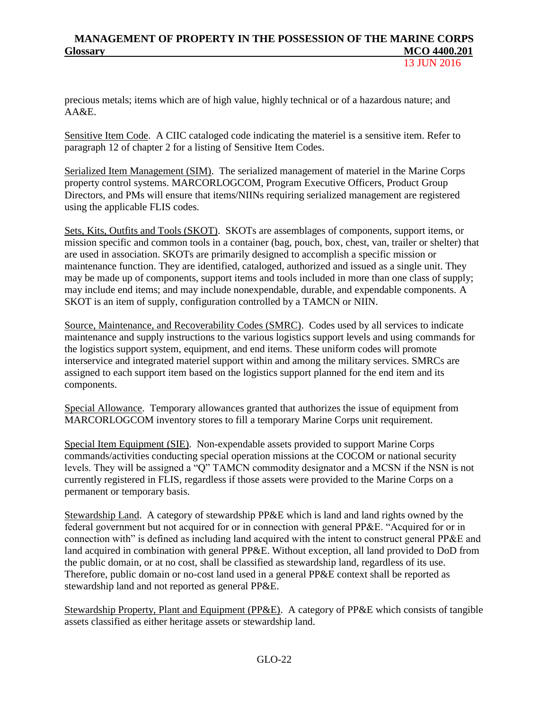precious metals; items which are of high value, highly technical or of a hazardous nature; and AA&E.

Sensitive Item Code. A CIIC cataloged code indicating the materiel is a sensitive item. Refer to paragraph 12 of chapter 2 for a listing of Sensitive Item Codes.

Serialized Item Management (SIM). The serialized management of materiel in the Marine Corps property control systems. MARCORLOGCOM, Program Executive Officers, Product Group Directors, and PMs will ensure that items/NIINs requiring serialized management are registered using the applicable FLIS codes.

Sets, Kits, Outfits and Tools (SKOT). SKOTs are assemblages of components, support items, or mission specific and common tools in a container (bag, pouch, box, chest, van, trailer or shelter) that are used in association. SKOTs are primarily designed to accomplish a specific mission or maintenance function. They are identified, cataloged, authorized and issued as a single unit. They may be made up of components, support items and tools included in more than one class of supply; may include end items; and may include nonexpendable, durable, and expendable components. A SKOT is an item of supply, configuration controlled by a TAMCN or NIIN.

Source, Maintenance, and Recoverability Codes (SMRC). Codes used by all services to indicate maintenance and supply instructions to the various logistics support levels and using commands for the logistics support system, equipment, and end items. These uniform codes will promote interservice and integrated materiel support within and among the military services. SMRCs are assigned to each support item based on the logistics support planned for the end item and its components.

Special Allowance. Temporary allowances granted that authorizes the issue of equipment from MARCORLOGCOM inventory stores to fill a temporary Marine Corps unit requirement.

Special Item Equipment (SIE). Non-expendable assets provided to support Marine Corps commands/activities conducting special operation missions at the COCOM or national security levels. They will be assigned a "Q" TAMCN commodity designator and a MCSN if the NSN is not currently registered in FLIS, regardless if those assets were provided to the Marine Corps on a permanent or temporary basis.

Stewardship Land. A category of stewardship PP&E which is land and land rights owned by the federal government but not acquired for or in connection with general PP&E. "Acquired for or in connection with" is defined as including land acquired with the intent to construct general PP&E and land acquired in combination with general PP&E. Without exception, all land provided to DoD from the public domain, or at no cost, shall be classified as stewardship land, regardless of its use. Therefore, public domain or no-cost land used in a general PP&E context shall be reported as stewardship land and not reported as general PP&E.

Stewardship Property, Plant and Equipment (PP&E). A category of PP&E which consists of tangible assets classified as either heritage assets or stewardship land.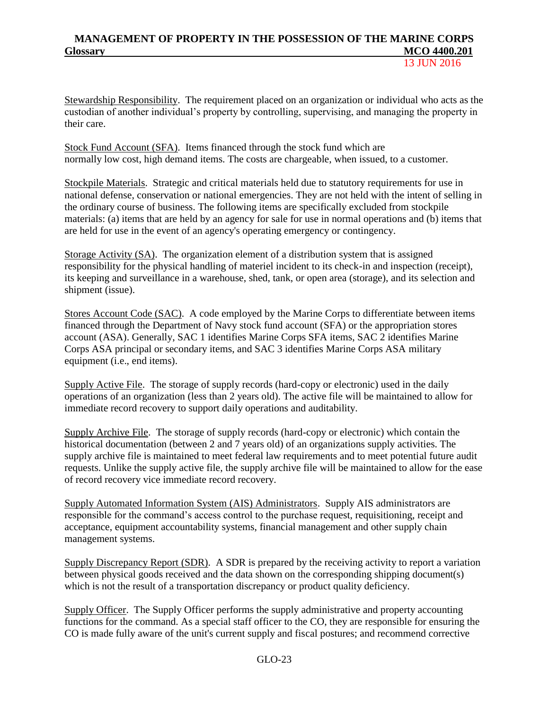13 **ILIN 2016** 

Stewardship Responsibility. The requirement placed on an organization or individual who acts as the custodian of another individual's property by controlling, supervising, and managing the property in their care.

Stock Fund Account (SFA). Items financed through the stock fund which are normally low cost, high demand items. The costs are chargeable, when issued, to a customer.

Stockpile Materials. Strategic and critical materials held due to statutory requirements for use in national defense, conservation or national emergencies. They are not held with the intent of selling in the ordinary course of business. The following items are specifically excluded from stockpile materials: (a) items that are held by an agency for sale for use in normal operations and (b) items that are held for use in the event of an agency's operating emergency or contingency.

Storage Activity (SA). The organization element of a distribution system that is assigned responsibility for the physical handling of materiel incident to its check-in and inspection (receipt), its keeping and surveillance in a warehouse, shed, tank, or open area (storage), and its selection and shipment (issue).

Stores Account Code (SAC). A code employed by the Marine Corps to differentiate between items financed through the Department of Navy stock fund account (SFA) or the appropriation stores account (ASA). Generally, SAC 1 identifies Marine Corps SFA items, SAC 2 identifies Marine Corps ASA principal or secondary items, and SAC 3 identifies Marine Corps ASA military equipment (i.e., end items).

Supply Active File. The storage of supply records (hard-copy or electronic) used in the [daily](http://www.businessdictionary.com/definition/daily.html) [operations](http://www.businessdictionary.com/definition/operations.html) of an [organization](http://www.businessdictionary.com/definition/organization.html) (less than 2 years old). The active file will be maintained to allow for immediate record recovery to support daily operations and auditability.

Supply Archive File. The storage of supply records (hard-copy or electronic) which contain the historical documentation (between 2 and 7 years old) of an organizations supply activities. The supply archive file is maintained to meet federal law requirements and to meet potential future audit requests. Unlike the supply active file, the supply archive file will be maintained to allow for the ease of record recovery vice immediate record recovery.

Supply Automated Information System (AIS) Administrators. Supply AIS administrators are responsible for the command's access control to the purchase request, requisitioning, receipt and acceptance, equipment accountability systems, financial management and other supply chain management systems.

Supply Discrepancy Report (SDR). A SDR is prepared by the receiving activity to report a variation between physical goods received and the data shown on the corresponding shipping document(s) which is not the result of a transportation discrepancy or product quality deficiency.

Supply Officer. The Supply Officer performs the supply administrative and property accounting functions for the command. As a special staff officer to the CO, they are responsible for ensuring the CO is made fully aware of the unit's current supply and fiscal postures; and recommend corrective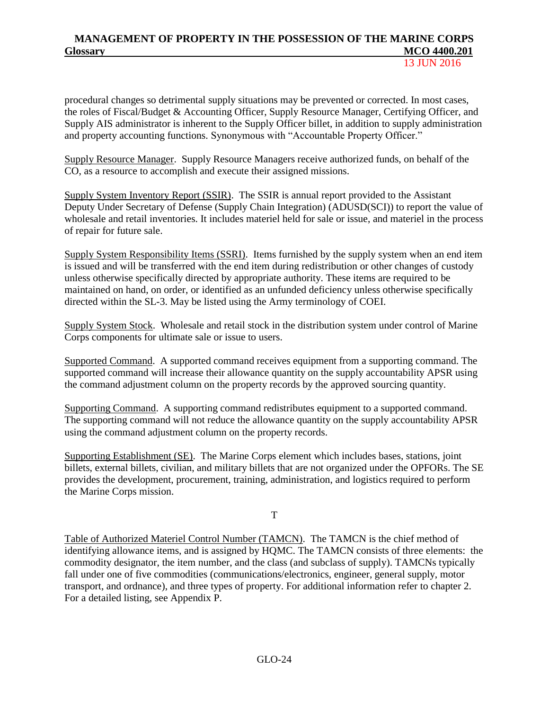procedural changes so detrimental supply situations may be prevented or corrected. In most cases, the roles of Fiscal/Budget & Accounting Officer, Supply Resource Manager, Certifying Officer, and Supply AIS administrator is inherent to the Supply Officer billet, in addition to supply administration and property accounting functions. Synonymous with "Accountable Property Officer."

Supply Resource Manager. Supply Resource Managers receive authorized funds, on behalf of the CO, as a resource to accomplish and execute their assigned missions.

Supply System Inventory Report (SSIR). The SSIR is annual report provided to the Assistant Deputy Under Secretary of Defense (Supply Chain Integration) (ADUSD(SCI)) to report the value of wholesale and retail inventories. It includes materiel held for sale or issue, and materiel in the process of repair for future sale.

Supply System Responsibility Items (SSRI). Items furnished by the supply system when an end item is issued and will be transferred with the end item during redistribution or other changes of custody unless otherwise specifically directed by appropriate authority. These items are required to be maintained on hand, on order, or identified as an unfunded deficiency unless otherwise specifically directed within the SL-3. May be listed using the Army terminology of COEI.

Supply System Stock. Wholesale and retail stock in the distribution system under control of Marine Corps components for ultimate sale or issue to users.

Supported Command. A supported command receives equipment from a supporting command. The supported command will increase their allowance quantity on the supply accountability APSR using the command adjustment column on the property records by the approved sourcing quantity.

Supporting Command. A supporting command redistributes equipment to a supported command. The supporting command will not reduce the allowance quantity on the supply accountability APSR using the command adjustment column on the property records.

Supporting Establishment (SE). The Marine Corps element which includes bases, stations, joint billets, external billets, civilian, and military billets that are not organized under the OPFORs. The SE provides the development, procurement, training, administration, and logistics required to perform the Marine Corps mission.

T

Table of Authorized Materiel Control Number (TAMCN). The TAMCN is the chief method of identifying allowance items, and is assigned by HQMC. The TAMCN consists of three elements: the commodity designator, the item number, and the class (and subclass of supply). TAMCNs typically fall under one of five commodities (communications/electronics, engineer, general supply, motor transport, and ordnance), and three types of property. For additional information refer to chapter 2. For a detailed listing, see Appendix P.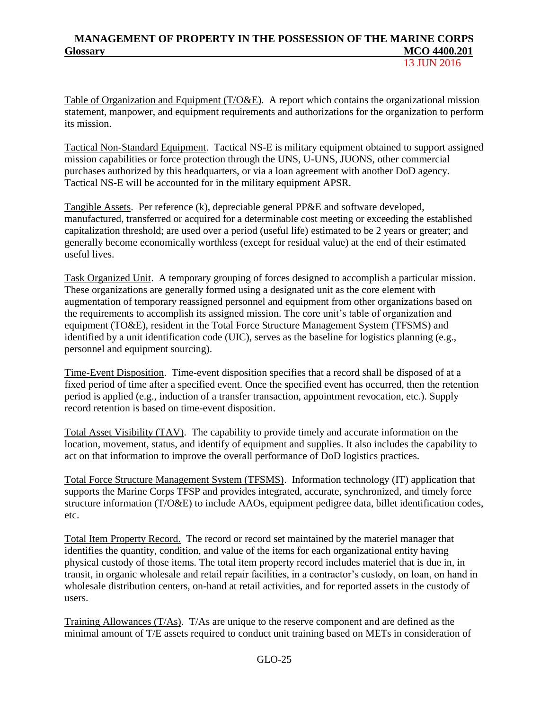13 JUN 2016

Table of Organization and Equipment (T/O&E). A report which contains the organizational mission statement, manpower, and equipment requirements and authorizations for the organization to perform its mission.

Tactical Non-Standard Equipment. Tactical NS-E is military equipment obtained to support assigned mission capabilities or force protection through the UNS, U-UNS, JUONS, other commercial purchases authorized by this headquarters, or via a loan agreement with another DoD agency. Tactical NS-E will be accounted for in the military equipment APSR.

Tangible Assets. Per reference (k), depreciable general PP&E and software developed, manufactured, transferred or acquired for a determinable cost meeting or exceeding the established capitalization threshold; are used over a period (useful life) estimated to be 2 years or greater; and generally become economically worthless (except for residual value) at the end of their estimated useful lives.

Task Organized Unit. A temporary grouping of forces designed to accomplish a particular mission. These organizations are generally formed using a designated unit as the core element with augmentation of temporary reassigned personnel and equipment from other organizations based on the requirements to accomplish its assigned mission. The core unit's table of organization and equipment (TO&E), resident in the Total Force Structure Management System (TFSMS) and identified by a unit identification code (UIC), serves as the baseline for logistics planning (e.g., personnel and equipment sourcing).

Time-Event Disposition. Time-event disposition specifies that a record shall be disposed of at a fixed period of time after a specified event. Once the specified event has occurred, then the retention period is applied (e.g., induction of a transfer transaction, appointment revocation, etc.). Supply record retention is based on time-event disposition.

Total Asset Visibility (TAV). The capability to provide timely and accurate information on the location, movement, status, and identify of equipment and supplies. It also includes the capability to act on that information to improve the overall performance of DoD logistics practices.

Total Force Structure Management System (TFSMS). Information technology (IT) application that supports the Marine Corps TFSP and provides integrated, accurate, synchronized, and timely force structure information (T/O&E) to include AAOs, equipment pedigree data, billet identification codes, etc.

Total Item Property Record. The record or record set maintained by the materiel manager that identifies the quantity, condition, and value of the items for each organizational entity having physical custody of those items. The total item property record includes materiel that is due in, in transit, in organic wholesale and retail repair facilities, in a contractor's custody, on loan, on hand in wholesale distribution centers, on-hand at retail activities, and for reported assets in the custody of users.

Training Allowances (T/As). T/As are unique to the reserve component and are defined as the minimal amount of T/E assets required to conduct unit training based on METs in consideration of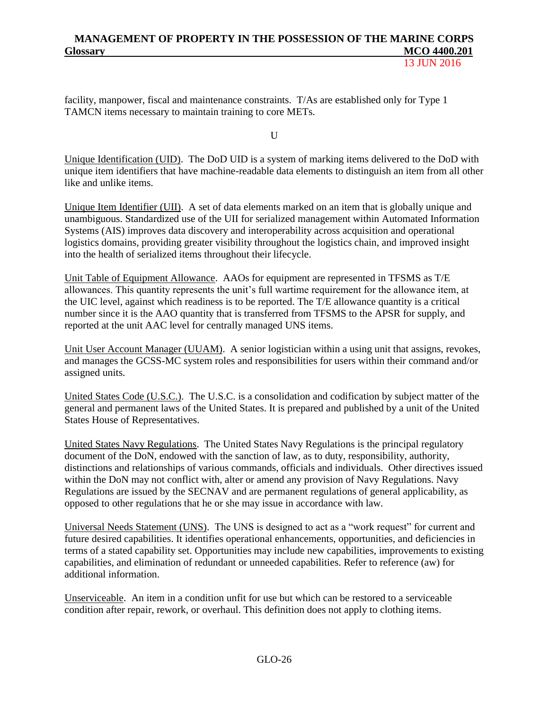13 JUN 2016

facility, manpower, fiscal and maintenance constraints. T/As are established only for Type 1 TAMCN items necessary to maintain training to core METs.

 $U$ 

Unique Identification (UID). The DoD UID is a system of marking items delivered to the DoD with unique item identifiers that have machine-readable data elements to distinguish an item from all other like and unlike items.

Unique Item Identifier (UII). A set of data elements marked on an item that is globally unique and unambiguous. Standardized use of the UII for serialized management within Automated Information Systems (AIS) improves data discovery and interoperability across acquisition and operational logistics domains, providing greater visibility throughout the logistics chain, and improved insight into the health of serialized items throughout their lifecycle.

Unit Table of Equipment Allowance. AAOs for equipment are represented in TFSMS as T/E allowances. This quantity represents the unit's full wartime requirement for the allowance item, at the UIC level, against which readiness is to be reported. The T/E allowance quantity is a critical number since it is the AAO quantity that is transferred from TFSMS to the APSR for supply, and reported at the unit AAC level for centrally managed UNS items.

Unit User Account Manager (UUAM). A senior logistician within a using unit that assigns, revokes, and manages the GCSS-MC system roles and responsibilities for users within their command and/or assigned units.

United States Code (U.S.C.). The U.S.C. is a consolidation and codification by subject matter of the general and permanent laws of the United States. It is prepared and published by a unit of the United States House of Representatives.

United States Navy Regulations. The United States Navy Regulations is the principal regulatory document of the DoN, endowed with the sanction of law, as to duty, responsibility, authority, distinctions and relationships of various commands, officials and individuals. Other directives issued within the DoN may not conflict with, alter or amend any provision of Navy Regulations. Navy Regulations are issued by the SECNAV and are permanent regulations of general applicability, as opposed to other regulations that he or she may issue in accordance with law.

Universal Needs Statement (UNS). The UNS is designed to act as a "work request" for current and future desired capabilities. It identifies operational enhancements, opportunities, and deficiencies in terms of a stated capability set. Opportunities may include new capabilities, improvements to existing capabilities, and elimination of redundant or unneeded capabilities. Refer to reference (aw) for additional information.

Unserviceable. An item in a condition unfit for use but which can be restored to a serviceable condition after repair, rework, or overhaul. This definition does not apply to clothing items.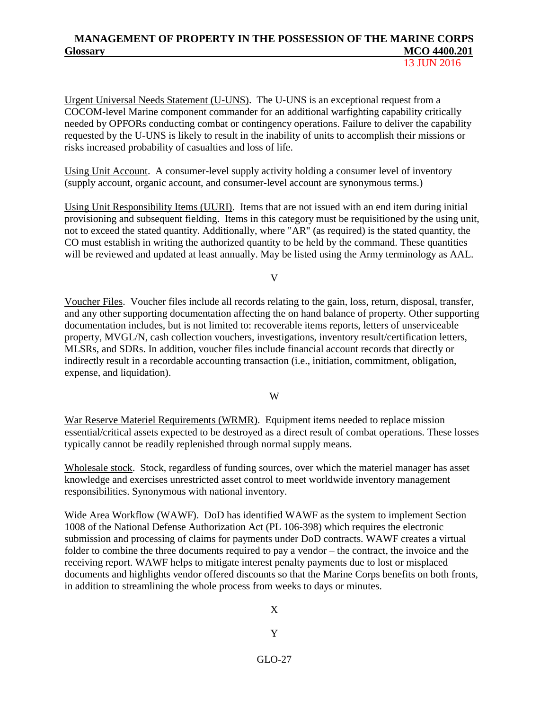13 JUN 2016

Urgent Universal Needs Statement (U-UNS). The U-UNS is an exceptional request from a COCOM-level Marine component commander for an additional warfighting capability critically needed by OPFORs conducting combat or contingency operations. Failure to deliver the capability requested by the U-UNS is likely to result in the inability of units to accomplish their missions or risks increased probability of casualties and loss of life.

Using Unit Account. A consumer-level supply activity holding a consumer level of inventory (supply account, organic account, and consumer-level account are synonymous terms.)

Using Unit Responsibility Items (UURI). Items that are not issued with an end item during initial provisioning and subsequent fielding. Items in this category must be requisitioned by the using unit, not to exceed the stated quantity. Additionally, where "AR" (as required) is the stated quantity, the CO must establish in writing the authorized quantity to be held by the command. These quantities will be reviewed and updated at least annually. May be listed using the Army terminology as AAL.

V

Voucher Files. Voucher files include all records relating to the gain, loss, return, disposal, transfer, and any other supporting documentation affecting the on hand balance of property. Other supporting documentation includes, but is not limited to: recoverable items reports, letters of unserviceable property, MVGL/N, cash collection vouchers, investigations, inventory result/certification letters, MLSRs, and SDRs. In addition, voucher files include financial account records that directly or indirectly result in a recordable accounting transaction (i.e., initiation, commitment, obligation, expense, and liquidation).

W

War Reserve Materiel Requirements (WRMR). Equipment items needed to replace mission essential/critical assets expected to be destroyed as a direct result of combat operations. These losses typically cannot be readily replenished through normal supply means.

Wholesale stock. Stock, regardless of funding sources, over which the materiel manager has asset knowledge and exercises unrestricted asset control to meet worldwide inventory management responsibilities. Synonymous with national inventory.

Wide Area Workflow (WAWF). DoD has identified WAWF as the system to implement Section 1008 of the National Defense Authorization Act (PL 106-398) which requires the electronic submission and processing of claims for payments under DoD contracts. WAWF creates a virtual folder to combine the three documents required to pay a vendor – the contract, the invoice and the receiving report. WAWF helps to mitigate interest penalty payments due to lost or misplaced documents and highlights vendor offered discounts so that the Marine Corps benefits on both fronts, in addition to streamlining the whole process from weeks to days or minutes.

X

Y